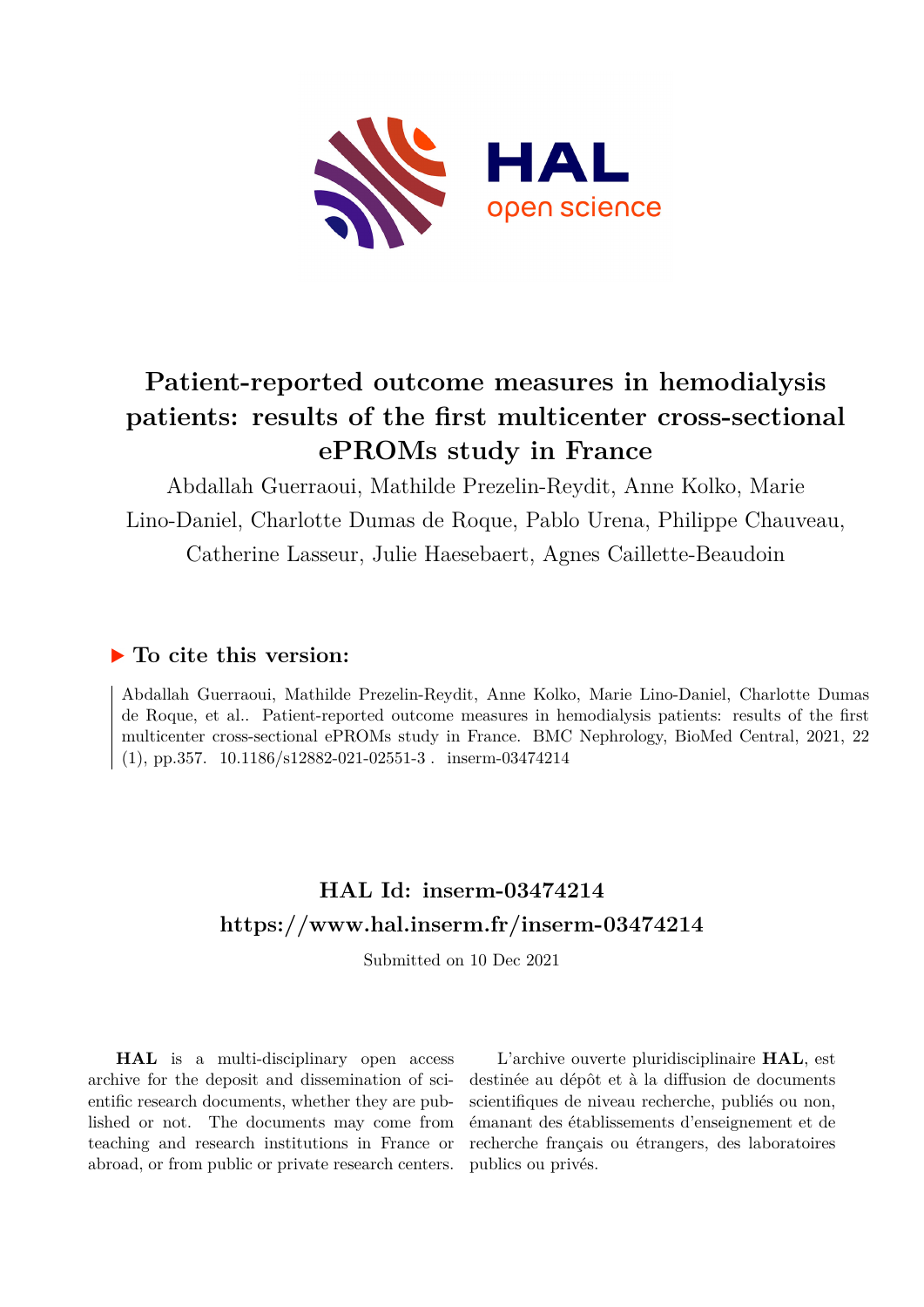

# **Patient-reported outcome measures in hemodialysis patients: results of the first multicenter cross-sectional ePROMs study in France**

Abdallah Guerraoui, Mathilde Prezelin-Reydit, Anne Kolko, Marie Lino-Daniel, Charlotte Dumas de Roque, Pablo Urena, Philippe Chauveau, Catherine Lasseur, Julie Haesebaert, Agnes Caillette-Beaudoin

# **To cite this version:**

Abdallah Guerraoui, Mathilde Prezelin-Reydit, Anne Kolko, Marie Lino-Daniel, Charlotte Dumas de Roque, et al.. Patient-reported outcome measures in hemodialysis patients: results of the first multicenter cross-sectional ePROMs study in France. BMC Nephrology, BioMed Central, 2021, 22 (1), pp.357.  $10.1186/s12882-021-02551-3$ . inserm-03474214

# **HAL Id: inserm-03474214 <https://www.hal.inserm.fr/inserm-03474214>**

Submitted on 10 Dec 2021

**HAL** is a multi-disciplinary open access archive for the deposit and dissemination of scientific research documents, whether they are published or not. The documents may come from teaching and research institutions in France or abroad, or from public or private research centers.

L'archive ouverte pluridisciplinaire **HAL**, est destinée au dépôt et à la diffusion de documents scientifiques de niveau recherche, publiés ou non, émanant des établissements d'enseignement et de recherche français ou étrangers, des laboratoires publics ou privés.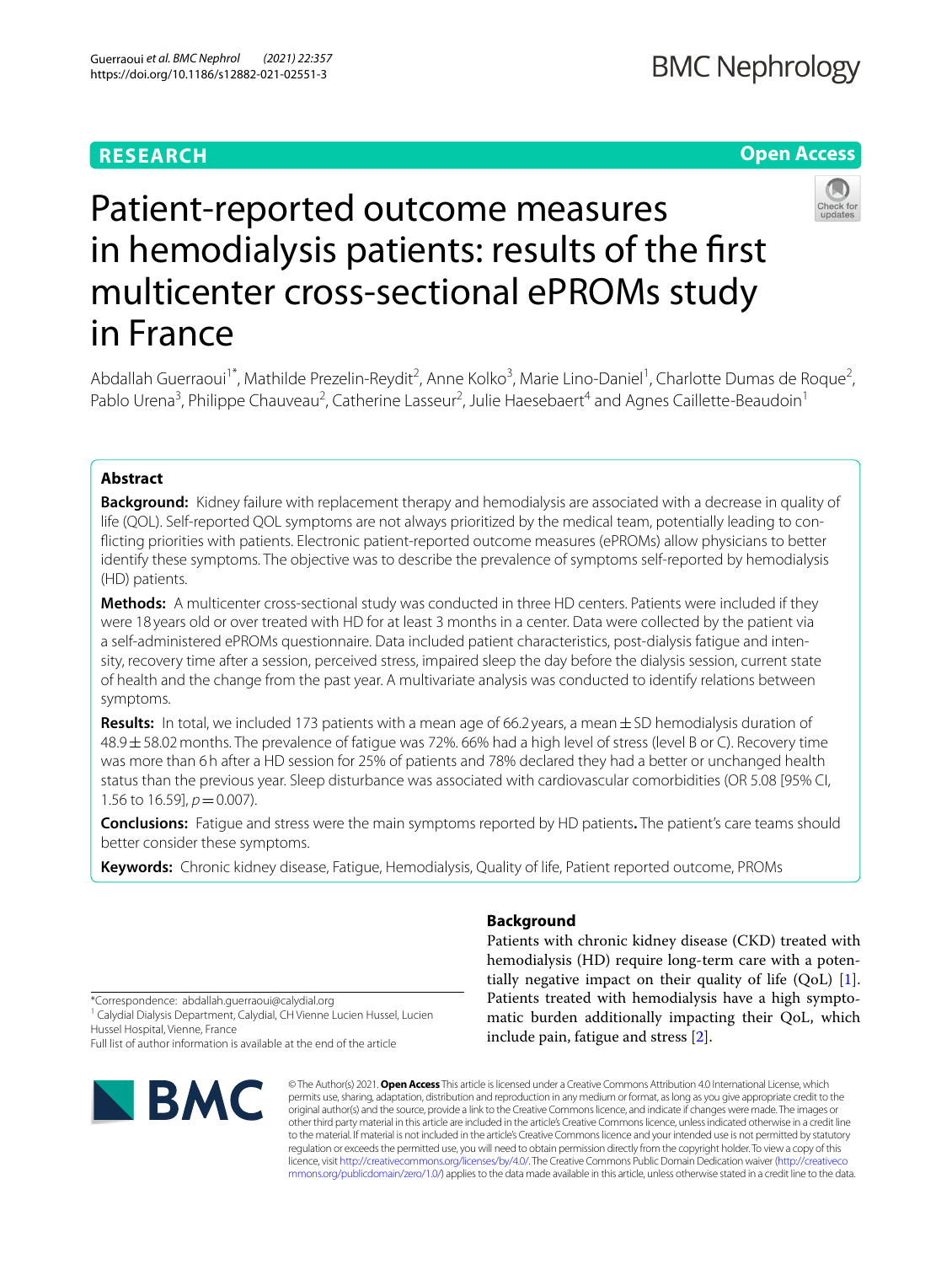## **RESEARCH**

## **Open Access**



# Patient-reported outcome measures in hemodialysis patients: results of the frst multicenter cross-sectional ePROMs study in France

Abdallah Guerraoui<sup>1\*</sup>, Mathilde Prezelin-Reydit<sup>2</sup>, Anne Kolko<sup>3</sup>, Marie Lino-Daniel<sup>1</sup>, Charlotte Dumas de Roque<sup>2</sup>, Pablo Urena<sup>3</sup>, Philippe Chauveau<sup>2</sup>, Catherine Lasseur<sup>2</sup>, Julie Haesebaert<sup>4</sup> and Agnes Caillette-Beaudoin<sup>1</sup>

### **Abstract**

**Background:** Kidney failure with replacement therapy and hemodialysis are associated with a decrease in quality of life (QOL). Self-reported QOL symptoms are not always prioritized by the medical team, potentially leading to conficting priorities with patients. Electronic patient-reported outcome measures (ePROMs) allow physicians to better identify these symptoms. The objective was to describe the prevalence of symptoms self-reported by hemodialysis (HD) patients.

**Methods:** A multicenter cross-sectional study was conducted in three HD centers. Patients were included if they were 18 years old or over treated with HD for at least 3 months in a center. Data were collected by the patient via a self-administered ePROMs questionnaire. Data included patient characteristics, post-dialysis fatigue and intensity, recovery time after a session, perceived stress, impaired sleep the day before the dialysis session, current state of health and the change from the past year. A multivariate analysis was conducted to identify relations between symptoms.

**Results:** In total, we included 173 patients with a mean age of 66.2 years, a mean±SD hemodialysis duration of 48.9±58.02months. The prevalence of fatigue was 72%. 66% had a high level of stress (level B or C). Recovery time was more than 6h after a HD session for 25% of patients and 78% declared they had a better or unchanged health status than the previous year. Sleep disturbance was associated with cardiovascular comorbidities (OR 5.08 [95% CI, 1.56 to 16.59],  $p = 0.007$ ).

**Conclusions:** Fatigue and stress were the main symptoms reported by HD patients**.** The patient's care teams should better consider these symptoms.

**Keywords:** Chronic kidney disease, Fatigue, Hemodialysis, Quality of life, Patient reported outcome, PROMs

## **Background**

Patients with chronic kidney disease (CKD) treated with hemodialysis (HD) require long-term care with a potentially negative impact on their quality of life  $(QoL)$  [1]. Patients treated with hemodialysis have a high symptomatic burden additionally impacting their QoL, which include pain, fatigue and stress [2].

\*Correspondence: abdallah.guerraoui@calydial.org

<sup>1</sup> Calydial Dialysis Department, Calydial, CH Vienne Lucien Hussel, Lucien Hussel Hospital, Vienne, France

Full list of author information is available at the end of the article



© The Author(s) 2021. **Open Access** This article is licensed under a Creative Commons Attribution 4.0 International License, which permits use, sharing, adaptation, distribution and reproduction in any medium or format, as long as you give appropriate credit to the original author(s) and the source, provide a link to the Creative Commons licence, and indicate if changes were made. The images or other third party material in this article are included in the article's Creative Commons licence, unless indicated otherwise in a credit line to the material. If material is not included in the article's Creative Commons licence and your intended use is not permitted by statutory regulation or exceeds the permitted use, you will need to obtain permission directly from the copyright holder. To view a copy of this licence, visit [http://creativecommons.org/licenses/by/4.0/.](http://creativecommons.org/licenses/by/4.0/) The Creative Commons Public Domain Dedication waiver ([http://creativeco](http://creativecommons.org/publicdomain/zero/1.0/) [mmons.org/publicdomain/zero/1.0/](http://creativecommons.org/publicdomain/zero/1.0/)) applies to the data made available in this article, unless otherwise stated in a credit line to the data.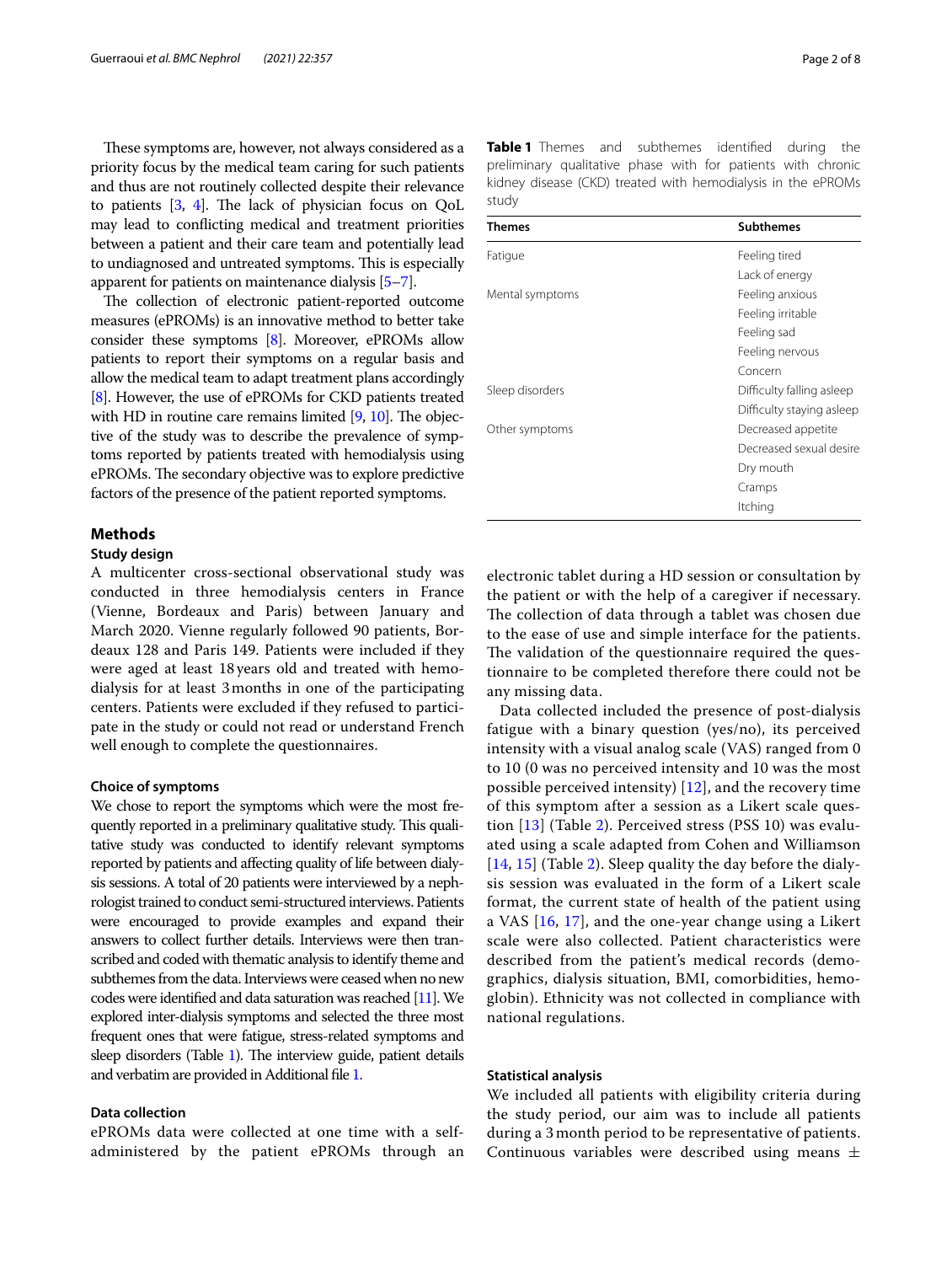These symptoms are, however, not always considered as a priority focus by the medical team caring for such patients and thus are not routinely collected despite their relevance to patients  $[3, 4]$ . The lack of physician focus on QoL may lead to conficting medical and treatment priorities between a patient and their care team and potentially lead to undiagnosed and untreated symptoms. This is especially apparent for patients on maintenance dialysis [5–7].

The collection of electronic patient-reported outcome measures (ePROMs) is an innovative method to better take consider these symptoms [8]. Moreover, ePROMs allow patients to report their symptoms on a regular basis and allow the medical team to adapt treatment plans accordingly [8]. However, the use of ePROMs for CKD patients treated with HD in routine care remains limited  $[9, 10]$ . The objective of the study was to describe the prevalence of symptoms reported by patients treated with hemodialysis using ePROMs. The secondary objective was to explore predictive factors of the presence of the patient reported symptoms.

#### **Methods**

#### **Study design**

A multicenter cross-sectional observational study was conducted in three hemodialysis centers in France (Vienne, Bordeaux and Paris) between January and March 2020. Vienne regularly followed 90 patients, Bordeaux 128 and Paris 149. Patients were included if they were aged at least 18years old and treated with hemodialysis for at least 3months in one of the participating centers. Patients were excluded if they refused to participate in the study or could not read or understand French well enough to complete the questionnaires.

#### **Choice of symptoms**

We chose to report the symptoms which were the most frequently reported in a preliminary qualitative study. This qualitative study was conducted to identify relevant symptoms reported by patients and afecting quality of life between dialysis sessions. A total of 20 patients were interviewed by a nephrologist trained to conduct semi-structured interviews. Patients were encouraged to provide examples and expand their answers to collect further details. Interviews were then transcribed and coded with thematic analysis to identify theme and subthemes from the data. Interviews were ceased when no new codes were identifed and data saturation was reached [11]. We explored inter-dialysis symptoms and selected the three most frequent ones that were fatigue, stress-related symptoms and sleep disorders (Table 1). The interview guide, patient details and verbatim are provided in Additional fle 1.

#### **Data collection**

ePROMs data were collected at one time with a selfadministered by the patient ePROMs through an **Table 1** Themes and subthemes identified during the preliminary qualitative phase with for patients with chronic kidney disease (CKD) treated with hemodialysis in the ePROMs study

| <b>Themes</b>   | <b>Subthemes</b>          |  |  |
|-----------------|---------------------------|--|--|
| Fatigue         | Feeling tired             |  |  |
|                 | Lack of energy            |  |  |
| Mental symptoms | Feeling anxious           |  |  |
|                 | Feeling irritable         |  |  |
|                 | Feeling sad               |  |  |
|                 | Feeling nervous           |  |  |
|                 | Concern                   |  |  |
| Sleep disorders | Difficulty falling asleep |  |  |
|                 | Difficulty staying asleep |  |  |
| Other symptoms  | Decreased appetite        |  |  |
|                 | Decreased sexual desire   |  |  |
|                 | Dry mouth                 |  |  |
|                 | Cramps                    |  |  |
|                 | Itching                   |  |  |

electronic tablet during a HD session or consultation by the patient or with the help of a caregiver if necessary. The collection of data through a tablet was chosen due to the ease of use and simple interface for the patients. The validation of the questionnaire required the questionnaire to be completed therefore there could not be any missing data.

Data collected included the presence of post-dialysis fatigue with a binary question (yes/no), its perceived intensity with a visual analog scale (VAS) ranged from 0 to 10 (0 was no perceived intensity and 10 was the most possible perceived intensity) [12], and the recovery time of this symptom after a session as a Likert scale question [13] (Table 2). Perceived stress (PSS 10) was evaluated using a scale adapted from Cohen and Williamson [14, 15] (Table 2). Sleep quality the day before the dialysis session was evaluated in the form of a Likert scale format, the current state of health of the patient using a VAS [16, 17], and the one-year change using a Likert scale were also collected. Patient characteristics were described from the patient's medical records (demographics, dialysis situation, BMI, comorbidities, hemoglobin). Ethnicity was not collected in compliance with national regulations.

#### **Statistical analysis**

We included all patients with eligibility criteria during the study period, our aim was to include all patients during a 3 month period to be representative of patients. Continuous variables were described using means  $\pm$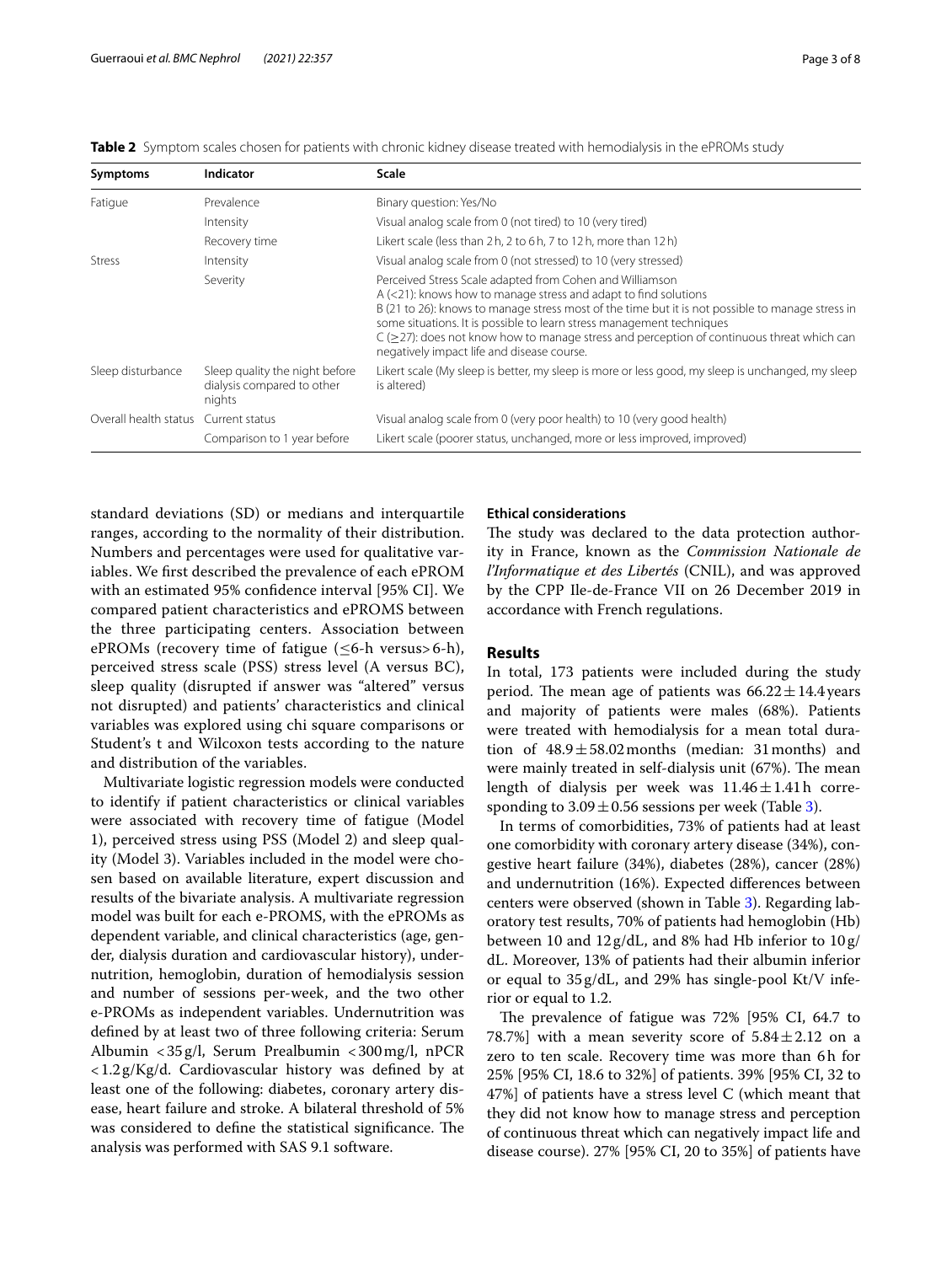|  | <b>Table 2</b> Symptom scales chosen for patients with chronic kidney disease treated with hemodialysis in the ePROMs study |
|--|-----------------------------------------------------------------------------------------------------------------------------|
|  |                                                                                                                             |

| Symptoms                             | Indicator                                                              | Scale                                                                                                                                                                                                                                                                                                                                                                                                                                                          |
|--------------------------------------|------------------------------------------------------------------------|----------------------------------------------------------------------------------------------------------------------------------------------------------------------------------------------------------------------------------------------------------------------------------------------------------------------------------------------------------------------------------------------------------------------------------------------------------------|
| Fatigue                              | Prevalence                                                             | Binary question: Yes/No                                                                                                                                                                                                                                                                                                                                                                                                                                        |
|                                      | Intensity                                                              | Visual analog scale from 0 (not tired) to 10 (very tired)                                                                                                                                                                                                                                                                                                                                                                                                      |
|                                      | Recovery time                                                          | Likert scale (less than 2h, 2 to 6h, 7 to 12h, more than 12h)                                                                                                                                                                                                                                                                                                                                                                                                  |
| <b>Stress</b>                        | Intensity                                                              | Visual analog scale from 0 (not stressed) to 10 (very stressed)                                                                                                                                                                                                                                                                                                                                                                                                |
|                                      | Severity                                                               | Perceived Stress Scale adapted from Cohen and Williamson<br>$A$ (<21): knows how to manage stress and adapt to find solutions<br>B (21 to 26): knows to manage stress most of the time but it is not possible to manage stress in<br>some situations. It is possible to learn stress management techniques<br>$C$ ( $\geq$ 27): does not know how to manage stress and perception of continuous threat which can<br>negatively impact life and disease course. |
| Sleep disturbance                    | Sleep quality the night before<br>dialysis compared to other<br>nights | Likert scale (My sleep is better, my sleep is more or less good, my sleep is unchanged, my sleep<br>is altered)                                                                                                                                                                                                                                                                                                                                                |
| Overall health status Current status |                                                                        | Visual analog scale from 0 (very poor health) to 10 (very good health)                                                                                                                                                                                                                                                                                                                                                                                         |
|                                      | Comparison to 1 year before                                            | Likert scale (poorer status, unchanged, more or less improved, improved)                                                                                                                                                                                                                                                                                                                                                                                       |

standard deviations (SD) or medians and interquartile ranges, according to the normality of their distribution. Numbers and percentages were used for qualitative variables. We frst described the prevalence of each ePROM with an estimated 95% confdence interval [95% CI]. We compared patient characteristics and ePROMS between the three participating centers. Association between ePROMs (recovery time of fatigue  $(\leq 6$ -h versus> 6-h), perceived stress scale (PSS) stress level (A versus BC), sleep quality (disrupted if answer was "altered" versus not disrupted) and patients' characteristics and clinical variables was explored using chi square comparisons or Student's t and Wilcoxon tests according to the nature and distribution of the variables.

Multivariate logistic regression models were conducted to identify if patient characteristics or clinical variables were associated with recovery time of fatigue (Model 1), perceived stress using PSS (Model 2) and sleep quality (Model 3). Variables included in the model were chosen based on available literature, expert discussion and results of the bivariate analysis. A multivariate regression model was built for each e-PROMS, with the ePROMs as dependent variable, and clinical characteristics (age, gender, dialysis duration and cardiovascular history), undernutrition, hemoglobin, duration of hemodialysis session and number of sessions per-week, and the two other e-PROMs as independent variables. Undernutrition was defned by at least two of three following criteria: Serum Albumin <35g/l, Serum Prealbumin <300mg/l, nPCR <1.2g/Kg/d. Cardiovascular history was defned by at least one of the following: diabetes, coronary artery disease, heart failure and stroke. A bilateral threshold of 5% was considered to define the statistical significance. The analysis was performed with SAS 9.1 software.

#### **Ethical considerations**

The study was declared to the data protection authority in France, known as the *Commission Nationale de l'Informatique et des Libertés* (CNIL), and was approved by the CPP Ile-de-France VII on 26 December 2019 in accordance with French regulations.

#### **Results**

In total, 173 patients were included during the study period. The mean age of patients was  $66.22 \pm 14.4$  years and majority of patients were males (68%). Patients were treated with hemodialysis for a mean total duration of  $48.9 \pm 58.02$  months (median: 31 months) and were mainly treated in self-dialysis unit (67%). The mean length of dialysis per week was  $11.46 \pm 1.41$  h corresponding to  $3.09 \pm 0.56$  sessions per week (Table 3).

In terms of comorbidities, 73% of patients had at least one comorbidity with coronary artery disease (34%), congestive heart failure (34%), diabetes (28%), cancer (28%) and undernutrition (16%). Expected diferences between centers were observed (shown in Table 3). Regarding laboratory test results, 70% of patients had hemoglobin (Hb) between 10 and 12g/dL, and 8% had Hb inferior to 10g/ dL. Moreover, 13% of patients had their albumin inferior or equal to 35 g/dL, and 29% has single-pool Kt/V inferior or equal to 1.2.

The prevalence of fatigue was  $72\%$  [95% CI, 64.7 to 78.7%] with a mean severity score of  $5.84 \pm 2.12$  on a zero to ten scale. Recovery time was more than 6h for 25% [95% CI, 18.6 to 32%] of patients. 39% [95% CI, 32 to 47%] of patients have a stress level C (which meant that they did not know how to manage stress and perception of continuous threat which can negatively impact life and disease course). 27% [95% CI, 20 to 35%] of patients have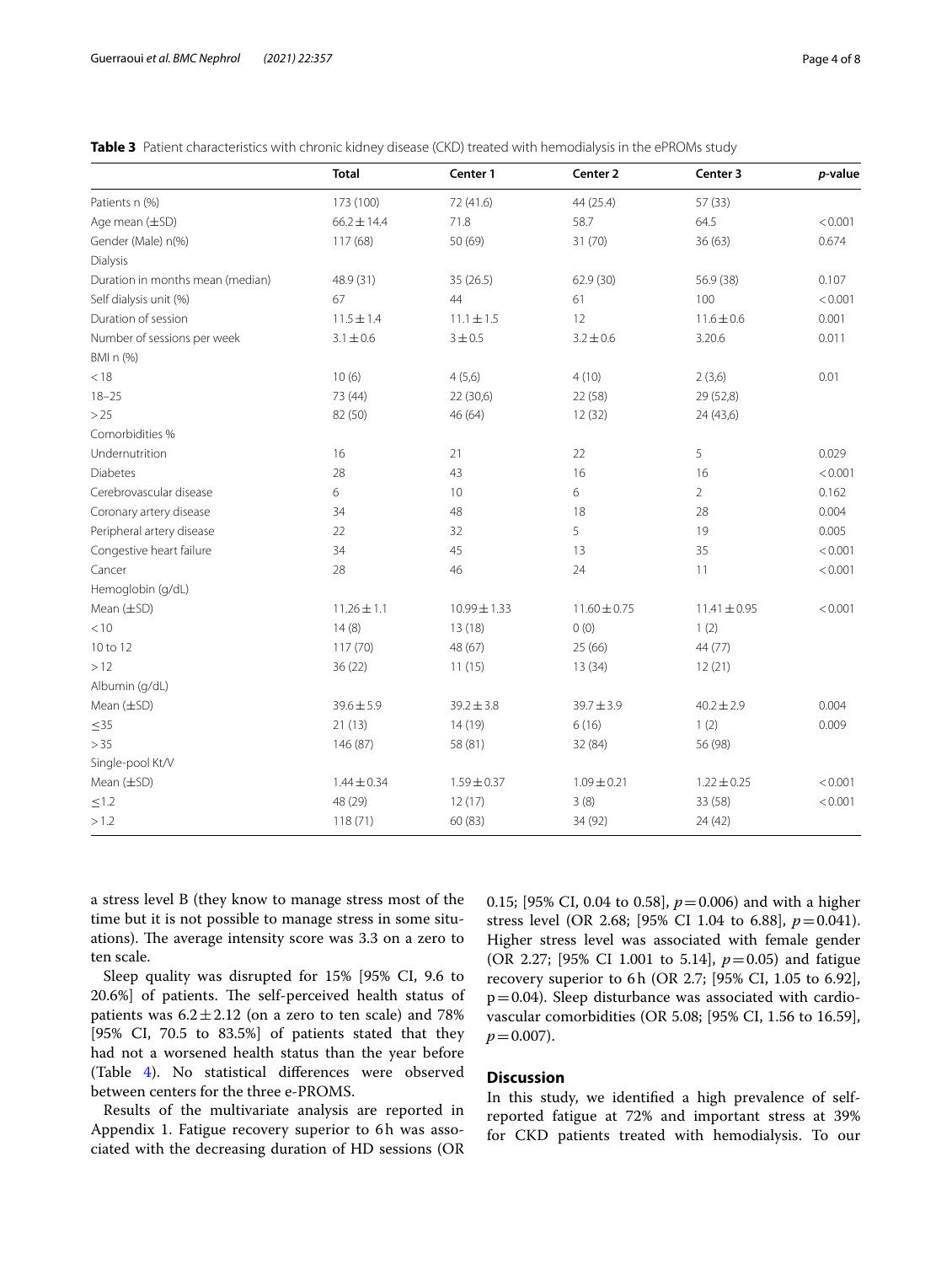|                                  | <b>Total</b>    | Center 1         | Center 2         | Center 3         | p-value |
|----------------------------------|-----------------|------------------|------------------|------------------|---------|
| Patients n (%)                   | 173 (100)       | 72 (41.6)        | 44 (25.4)        | 57 (33)          |         |
| Age mean (±SD)                   | $66.2 \pm 14.4$ | 71.8             | 58.7             | 64.5             | < 0.001 |
| Gender (Male) n(%)               | 117 (68)        | 50 (69)          | 31 (70)          | 36(63)           | 0.674   |
| Dialysis                         |                 |                  |                  |                  |         |
| Duration in months mean (median) | 48.9 (31)       | 35(26.5)         | 62.9(30)         | 56.9 (38)        | 0.107   |
| Self dialysis unit (%)           | 67              | 44               | 61               | 100              | < 0.001 |
| Duration of session              | $11.5 \pm 1.4$  | $11.1 \pm 1.5$   | 12               | $11.6 \pm 0.6$   | 0.001   |
| Number of sessions per week      | $3.1 \pm 0.6$   | 3 ± 0.5          | $3.2 \pm 0.6$    | 3.20.6           | 0.011   |
| BMI n (%)                        |                 |                  |                  |                  |         |
| < 18                             | 10(6)           | 4(5,6)           | 4(10)            | 2(3,6)           | 0.01    |
| $18 - 25$                        | 73 (44)         | 22(30,6)         | 22 (58)          | 29 (52,8)        |         |
| >25                              | 82 (50)         | 46 (64)          | 12(32)           | 24 (43,6)        |         |
| Comorbidities %                  |                 |                  |                  |                  |         |
| Undernutrition                   | 16              | 21               | 22               | 5                | 0.029   |
| <b>Diabetes</b>                  | 28              | 43               | 16               | 16               | < 0.001 |
| Cerebrovascular disease          | 6               | 10               | 6                | $\overline{2}$   | 0.162   |
| Coronary artery disease          | 34              | 48               | 18               | 28               | 0.004   |
| Peripheral artery disease        | 22              | 32               | 5                | 19               | 0.005   |
| Congestive heart failure         | 34              | 45               | 13               | 35               | < 0.001 |
| Cancer                           | 28              | 46               | 24               | 11               | < 0.001 |
| Hemoglobin (g/dL)                |                 |                  |                  |                  |         |
| Mean $(\pm SD)$                  | $11.26 \pm 1.1$ | $10.99 \pm 1.33$ | $11.60 \pm 0.75$ | $11.41 \pm 0.95$ | < 0.001 |
| < 10                             | 14(8)           | 13(18)           | 0(0)             | 1(2)             |         |
| 10 to 12                         | 117(70)         | 48 (67)          | 25 (66)          | 44 (77)          |         |
| >12                              | 36(22)          | 11(15)           | 13(34)           | 12(21)           |         |
| Albumin (g/dL)                   |                 |                  |                  |                  |         |
| Mean (±SD)                       | $39.6 \pm 5.9$  | $39.2 \pm 3.8$   | $39.7 \pm 3.9$   | $40.2 \pm 2.9$   | 0.004   |
| $\leq$ 35                        | 21(13)          | 14(19)           | 6(16)            | 1(2)             | 0.009   |
| > 35                             | 146 (87)        | 58 (81)          | 32 (84)          | 56 (98)          |         |
| Single-pool Kt/V                 |                 |                  |                  |                  |         |
| Mean $(\pm SD)$                  | $1.44 \pm 0.34$ | $1.59 \pm 0.37$  | $1.09 \pm 0.21$  | $1.22 \pm 0.25$  | < 0.001 |
| $\leq1.2$                        | 48 (29)         | 12(17)           | 3(8)             | 33 (58)          | < 0.001 |
| >1.2                             | 118(71)         | 60 (83)          | 34 (92)          | 24(42)           |         |

**Table 3** Patient characteristics with chronic kidney disease (CKD) treated with hemodialysis in the ePROMs study

a stress level B (they know to manage stress most of the time but it is not possible to manage stress in some situations). The average intensity score was 3.3 on a zero to ten scale.

Sleep quality was disrupted for 15% [95% CI, 9.6 to 20.6%] of patients. The self-perceived health status of patients was  $6.2 \pm 2.12$  (on a zero to ten scale) and 78% [95% CI, 70.5 to 83.5%] of patients stated that they had not a worsened health status than the year before (Table 4). No statistical diferences were observed between centers for the three e-PROMS.

Results of the multivariate analysis are reported in Appendix 1. Fatigue recovery superior to 6h was associated with the decreasing duration of HD sessions (OR 0.15; [95% CI, 0.04 to 0.58], *p*=0.006) and with a higher stress level (OR 2.68; [95% CI 1.04 to 6.88], *p*=0.041). Higher stress level was associated with female gender (OR 2.27; [95% CI 1.001 to 5.14], *p*=0.05) and fatigue recovery superior to 6h (OR 2.7; [95% CI, 1.05 to 6.92],  $p=0.04$ ). Sleep disturbance was associated with cardiovascular comorbidities (OR 5.08; [95% CI, 1.56 to 16.59],  $p = 0.007$ ).

#### **Discussion**

In this study, we identifed a high prevalence of selfreported fatigue at 72% and important stress at 39% for CKD patients treated with hemodialysis. To our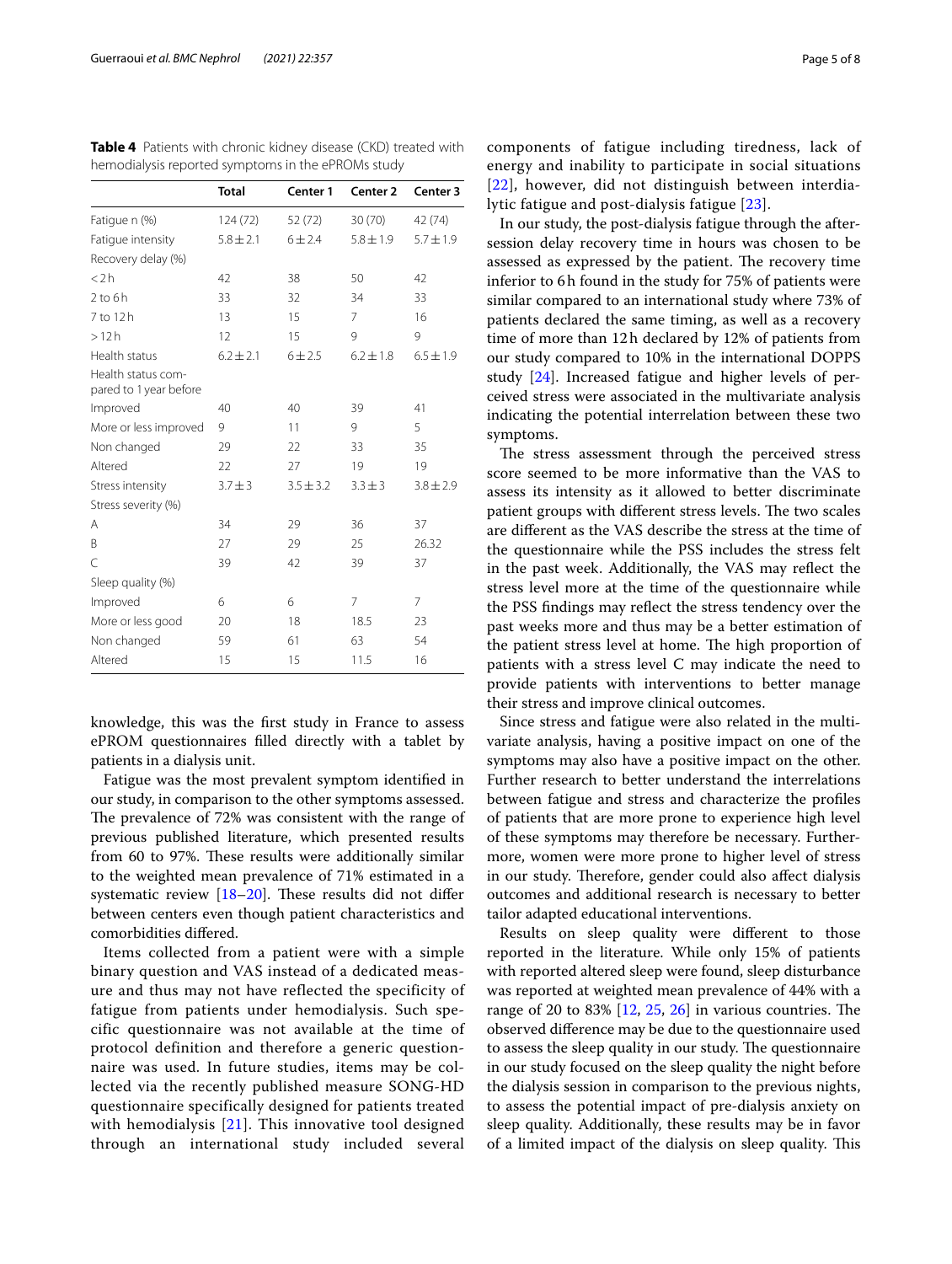| <b>Total</b>  | Center 1      | Center <sub>2</sub> | Center 3      |
|---------------|---------------|---------------------|---------------|
| 124 (72)      | 52 (72)       | 30(70)              | 42 (74)       |
| $5.8 \pm 2.1$ | $6 + 2.4$     | $5.8 + 1.9$         | $5.7 + 1.9$   |
|               |               |                     |               |
| 42            | 38            | 50                  | 42            |
| 33            | 32            | 34                  | 33            |
| 13            | 15            | 7                   | 16            |
| 12            | 15            | 9                   | 9             |
| $6.2 + 2.1$   | 6 ± 2.5       | $6.2 + 1.8$         | $6.5 + 1.9$   |
|               |               |                     |               |
| 40            | 40            | 39                  | 41            |
| 9             | 11            | 9                   | 5             |
| 29            | 22            | 33                  | 35            |
| 22            | 27            | 19                  | 19            |
| $3.7 + 3$     | $3.5 \pm 3.2$ | $3.3 + 3$           | $3.8 \pm 2.9$ |
|               |               |                     |               |
| 34            | 29            | 36                  | 37            |
| 27            | 29            | 25                  | 26.32         |
| 39            | 42            | 39                  | 37            |
|               |               |                     |               |
| 6             | 6             | 7                   | 7             |
| 20            | 18            | 18.5                | 23            |
| 59            | 61            | 63                  | 54            |
| 15            | 15            | 11.5                | 16            |
|               |               |                     |               |

**Table 4** Patients with chronic kidney disease (CKD) treated with hemodialysis reported symptoms in the ePROMs study

knowledge, this was the frst study in France to assess ePROM questionnaires flled directly with a tablet by patients in a dialysis unit.

Fatigue was the most prevalent symptom identifed in our study, in comparison to the other symptoms assessed. The prevalence of 72% was consistent with the range of previous published literature, which presented results from 60 to 97%. These results were additionally similar to the weighted mean prevalence of 71% estimated in a systematic review  $[18–20]$ . These results did not differ between centers even though patient characteristics and comorbidities difered.

Items collected from a patient were with a simple binary question and VAS instead of a dedicated measure and thus may not have reflected the specificity of fatigue from patients under hemodialysis. Such specific questionnaire was not available at the time of protocol definition and therefore a generic questionnaire was used. In future studies, items may be collected via the recently published measure SONG-HD questionnaire specifically designed for patients treated with hemodialysis [21]. This innovative tool designed through an international study included several components of fatigue including tiredness, lack of energy and inability to participate in social situations [22], however, did not distinguish between interdialytic fatigue and post-dialysis fatigue [23].

In our study, the post-dialysis fatigue through the aftersession delay recovery time in hours was chosen to be assessed as expressed by the patient. The recovery time inferior to 6h found in the study for 75% of patients were similar compared to an international study where 73% of patients declared the same timing, as well as a recovery time of more than 12h declared by 12% of patients from our study compared to 10% in the international DOPPS study [24]. Increased fatigue and higher levels of perceived stress were associated in the multivariate analysis indicating the potential interrelation between these two symptoms.

The stress assessment through the perceived stress score seemed to be more informative than the VAS to assess its intensity as it allowed to better discriminate patient groups with different stress levels. The two scales are diferent as the VAS describe the stress at the time of the questionnaire while the PSS includes the stress felt in the past week. Additionally, the VAS may refect the stress level more at the time of the questionnaire while the PSS fndings may refect the stress tendency over the past weeks more and thus may be a better estimation of the patient stress level at home. The high proportion of patients with a stress level C may indicate the need to provide patients with interventions to better manage their stress and improve clinical outcomes.

Since stress and fatigue were also related in the multivariate analysis, having a positive impact on one of the symptoms may also have a positive impact on the other. Further research to better understand the interrelations between fatigue and stress and characterize the profles of patients that are more prone to experience high level of these symptoms may therefore be necessary. Furthermore, women were more prone to higher level of stress in our study. Therefore, gender could also affect dialysis outcomes and additional research is necessary to better tailor adapted educational interventions.

Results on sleep quality were diferent to those reported in the literature. While only 15% of patients with reported altered sleep were found, sleep disturbance was reported at weighted mean prevalence of 44% with a range of 20 to 83%  $[12, 25, 26]$  in various countries. The observed diference may be due to the questionnaire used to assess the sleep quality in our study. The questionnaire in our study focused on the sleep quality the night before the dialysis session in comparison to the previous nights, to assess the potential impact of pre-dialysis anxiety on sleep quality. Additionally, these results may be in favor of a limited impact of the dialysis on sleep quality. This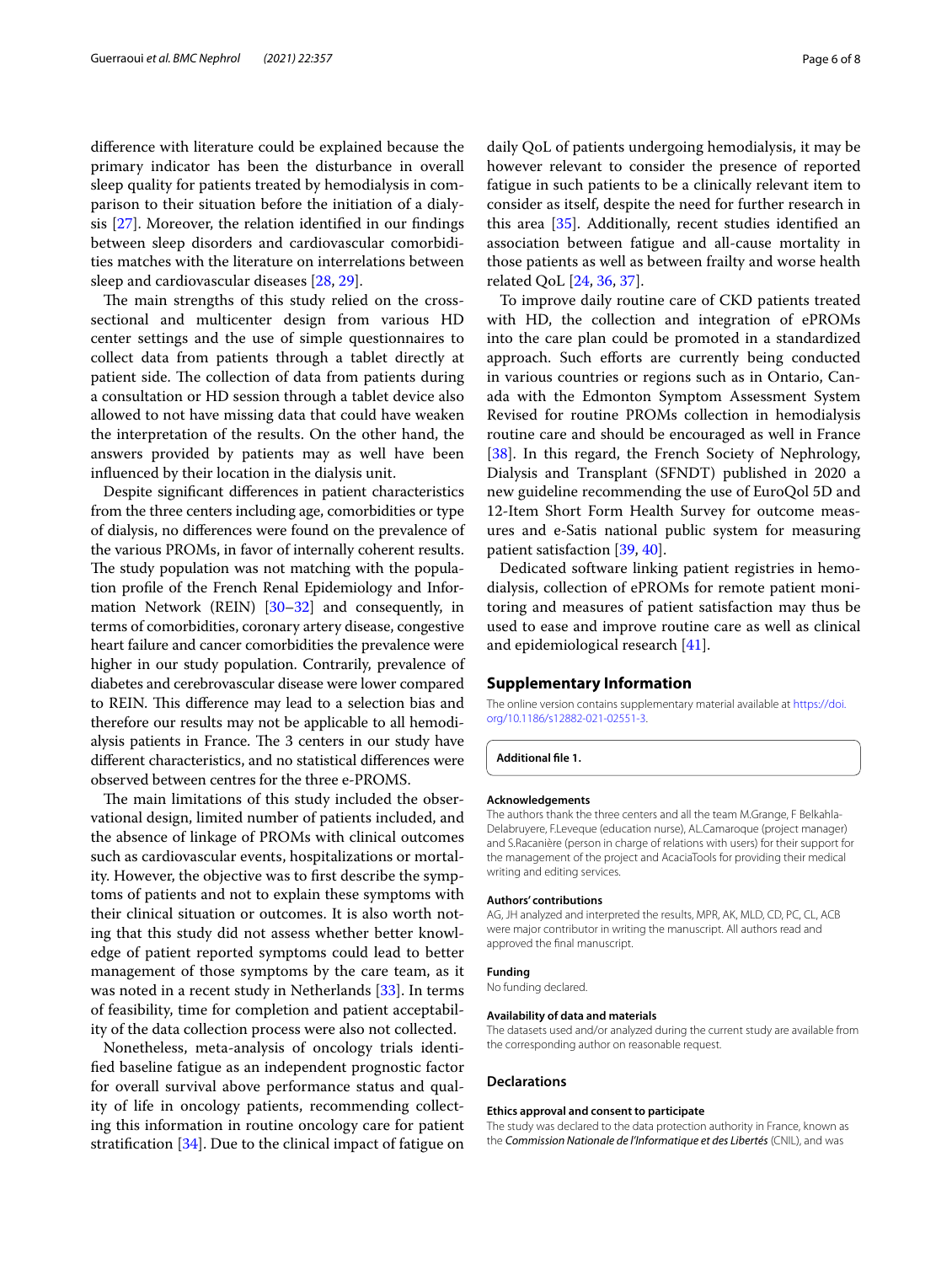diference with literature could be explained because the primary indicator has been the disturbance in overall sleep quality for patients treated by hemodialysis in comparison to their situation before the initiation of a dialysis [27]. Moreover, the relation identifed in our fndings between sleep disorders and cardiovascular comorbidities matches with the literature on interrelations between sleep and cardiovascular diseases [28, 29].

The main strengths of this study relied on the crosssectional and multicenter design from various HD center settings and the use of simple questionnaires to collect data from patients through a tablet directly at patient side. The collection of data from patients during a consultation or HD session through a tablet device also allowed to not have missing data that could have weaken the interpretation of the results. On the other hand, the answers provided by patients may as well have been infuenced by their location in the dialysis unit.

Despite signifcant diferences in patient characteristics from the three centers including age, comorbidities or type of dialysis, no diferences were found on the prevalence of the various PROMs, in favor of internally coherent results. The study population was not matching with the population profle of the French Renal Epidemiology and Information Network (REIN) [30–32] and consequently, in terms of comorbidities, coronary artery disease, congestive heart failure and cancer comorbidities the prevalence were higher in our study population. Contrarily, prevalence of diabetes and cerebrovascular disease were lower compared to REIN. This difference may lead to a selection bias and therefore our results may not be applicable to all hemodialysis patients in France. The 3 centers in our study have diferent characteristics, and no statistical diferences were observed between centres for the three e-PROMS.

The main limitations of this study included the observational design, limited number of patients included, and the absence of linkage of PROMs with clinical outcomes such as cardiovascular events, hospitalizations or mortality. However, the objective was to frst describe the symptoms of patients and not to explain these symptoms with their clinical situation or outcomes. It is also worth noting that this study did not assess whether better knowledge of patient reported symptoms could lead to better management of those symptoms by the care team, as it was noted in a recent study in Netherlands [33]. In terms of feasibility, time for completion and patient acceptability of the data collection process were also not collected.

Nonetheless, meta-analysis of oncology trials identifed baseline fatigue as an independent prognostic factor for overall survival above performance status and quality of life in oncology patients, recommending collecting this information in routine oncology care for patient stratification  $[34]$ . Due to the clinical impact of fatigue on daily QoL of patients undergoing hemodialysis, it may be however relevant to consider the presence of reported fatigue in such patients to be a clinically relevant item to consider as itself, despite the need for further research in this area [35]. Additionally, recent studies identifed an association between fatigue and all-cause mortality in those patients as well as between frailty and worse health related QoL [24, 36, 37].

To improve daily routine care of CKD patients treated with HD, the collection and integration of ePROMs into the care plan could be promoted in a standardized approach. Such efforts are currently being conducted in various countries or regions such as in Ontario, Canada with the Edmonton Symptom Assessment System Revised for routine PROMs collection in hemodialysis routine care and should be encouraged as well in France [38]. In this regard, the French Society of Nephrology, Dialysis and Transplant (SFNDT) published in 2020 a new guideline recommending the use of EuroQol 5D and 12-Item Short Form Health Survey for outcome measures and e-Satis national public system for measuring patient satisfaction [39, 40].

Dedicated software linking patient registries in hemodialysis, collection of ePROMs for remote patient monitoring and measures of patient satisfaction may thus be used to ease and improve routine care as well as clinical and epidemiological research [41].

#### **Supplementary Information**

The online version contains supplementary material available at [https://doi.](https://doi.org/10.1186/s12882-021-02551-3) [org/10.1186/s12882-021-02551-3](https://doi.org/10.1186/s12882-021-02551-3).

**Additional fle 1.**

#### **Acknowledgements**

The authors thank the three centers and all the team M.Grange, F Belkahla-Delabruyere, F.Leveque (education nurse), AL.Camaroque (project manager) and S.Racanière (person in charge of relations with users) for their support for the management of the project and AcaciaTools for providing their medical writing and editing services.

#### **Authors' contributions**

AG, JH analyzed and interpreted the results, MPR, AK, MLD, CD, PC, CL, ACB were major contributor in writing the manuscript. All authors read and approved the fnal manuscript.

#### **Funding**

No funding declared.

#### **Availability of data and materials**

The datasets used and/or analyzed during the current study are available from the corresponding author on reasonable request.

#### **Declarations**

#### **Ethics approval and consent to participate**

The study was declared to the data protection authority in France, known as the *Commission Nationale de l'Informatique et des Libertés* (CNIL), and was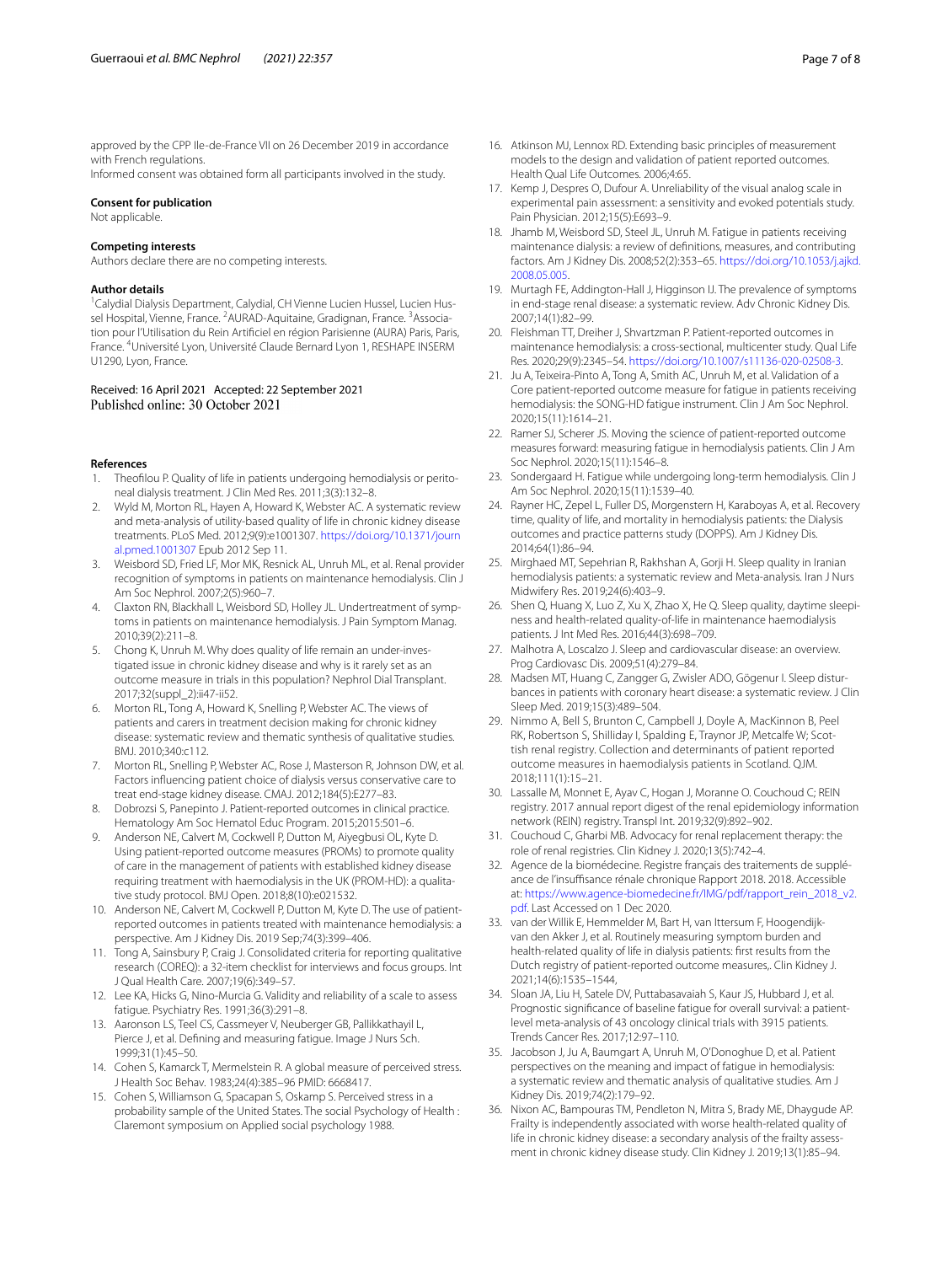approved by the CPP Ile-de-France VII on 26 December 2019 in accordance with French regulations.

Informed consent was obtained form all participants involved in the study.

#### **Consent for publication**

Not applicable.

#### **Competing interests**

Authors declare there are no competing interests.

#### **Author details**

<sup>1</sup> Calydial Dialysis Department, Calydial, CH Vienne Lucien Hussel, Lucien Hussel Hospital, Vienne, France. <sup>2</sup> AURAD-Aquitaine, Gradignan, France. <sup>3</sup> Association pour l'Utilisation du Rein Artifciel en région Parisienne (AURA) Paris, Paris, France. <sup>4</sup>Université Lyon, Université Claude Bernard Lyon 1, RESHAPE INSERM U1290, Lyon, France.

# Received: 16 April 2021 Accepted: 22 September 2021

#### **References**

- 1. Theofilou P. Quality of life in patients undergoing hemodialysis or peritoneal dialysis treatment. J Clin Med Res. 2011;3(3):132–8.
- 2. Wyld M, Morton RL, Hayen A, Howard K, Webster AC. A systematic review and meta-analysis of utility-based quality of life in chronic kidney disease treatments. PLoS Med. 2012;9(9):e1001307. [https://doi.org/10.1371/journ](https://doi.org/10.1371/journal.pmed.1001307) [al.pmed.1001307](https://doi.org/10.1371/journal.pmed.1001307) Epub 2012 Sep 11.
- 3. Weisbord SD, Fried LF, Mor MK, Resnick AL, Unruh ML, et al. Renal provider recognition of symptoms in patients on maintenance hemodialysis. Clin J Am Soc Nephrol. 2007;2(5):960–7.
- 4. Claxton RN, Blackhall L, Weisbord SD, Holley JL. Undertreatment of symptoms in patients on maintenance hemodialysis. J Pain Symptom Manag. 2010;39(2):211–8.
- 5. Chong K, Unruh M. Why does quality of life remain an under-investigated issue in chronic kidney disease and why is it rarely set as an outcome measure in trials in this population? Nephrol Dial Transplant. 2017;32(suppl\_2):ii47-ii52.
- 6. Morton RL, Tong A, Howard K, Snelling P, Webster AC. The views of patients and carers in treatment decision making for chronic kidney disease: systematic review and thematic synthesis of qualitative studies. BMJ. 2010;340:c112.
- 7. Morton RL, Snelling P, Webster AC, Rose J, Masterson R, Johnson DW, et al. Factors infuencing patient choice of dialysis versus conservative care to treat end-stage kidney disease. CMAJ. 2012;184(5):E277–83.
- 8. Dobrozsi S, Panepinto J. Patient-reported outcomes in clinical practice. Hematology Am Soc Hematol Educ Program. 2015;2015:501–6.
- Anderson NE, Calvert M, Cockwell P, Dutton M, Aiyegbusi OL, Kyte D. Using patient-reported outcome measures (PROMs) to promote quality of care in the management of patients with established kidney disease requiring treatment with haemodialysis in the UK (PROM-HD): a qualitative study protocol. BMJ Open. 2018;8(10):e021532.
- 10. Anderson NE, Calvert M, Cockwell P, Dutton M, Kyte D. The use of patientreported outcomes in patients treated with maintenance hemodialysis: a perspective. Am J Kidney Dis. 2019 Sep;74(3):399–406.
- 11. Tong A, Sainsbury P, Craig J. Consolidated criteria for reporting qualitative research (COREQ): a 32-item checklist for interviews and focus groups. Int J Qual Health Care. 2007;19(6):349–57.
- 12. Lee KA, Hicks G, Nino-Murcia G. Validity and reliability of a scale to assess fatigue. Psychiatry Res. 1991;36(3):291–8.
- 13. Aaronson LS, Teel CS, Cassmeyer V, Neuberger GB, Pallikkathayil L, Pierce J, et al. Defning and measuring fatigue. Image J Nurs Sch. 1999;31(1):45–50.
- 14. Cohen S, Kamarck T, Mermelstein R. A global measure of perceived stress. J Health Soc Behav. 1983;24(4):385–96 PMID: 6668417.
- 15. Cohen S, Williamson G, Spacapan S, Oskamp S. Perceived stress in a probability sample of the United States. The social Psychology of Health : Claremont symposium on Applied social psychology 1988.
- 16. Atkinson MJ, Lennox RD. Extending basic principles of measurement models to the design and validation of patient reported outcomes. Health Qual Life Outcomes. 2006;4:65.
- 17. Kemp J, Despres O, Dufour A. Unreliability of the visual analog scale in experimental pain assessment: a sensitivity and evoked potentials study. Pain Physician. 2012;15(5):E693–9.
- 18. Jhamb M, Weisbord SD, Steel JL, Unruh M. Fatigue in patients receiving maintenance dialysis: a review of defnitions, measures, and contributing factors. Am J Kidney Dis. 2008;52(2):353–65. [https://doi.org/10.1053/j.ajkd.](https://doi.org/10.1053/j.ajkd.2008.05.005) [2008.05.005](https://doi.org/10.1053/j.ajkd.2008.05.005).
- 19. Murtagh FE, Addington-Hall J, Higginson IJ. The prevalence of symptoms in end-stage renal disease: a systematic review. Adv Chronic Kidney Dis. 2007;14(1):82–99.
- 20. Fleishman TT, Dreiher J, Shvartzman P. Patient-reported outcomes in maintenance hemodialysis: a cross-sectional, multicenter study. Qual Life Res. 2020;29(9):2345–54. <https://doi.org/10.1007/s11136-020-02508-3>.
- 21. Ju A, Teixeira-Pinto A, Tong A, Smith AC, Unruh M, et al. Validation of a Core patient-reported outcome measure for fatigue in patients receiving hemodialysis: the SONG-HD fatigue instrument. Clin J Am Soc Nephrol. 2020;15(11):1614–21.
- 22. Ramer SJ, Scherer JS. Moving the science of patient-reported outcome measures forward: measuring fatigue in hemodialysis patients. Clin J Am Soc Nephrol. 2020;15(11):1546–8.
- 23. Sondergaard H. Fatigue while undergoing long-term hemodialysis. Clin J Am Soc Nephrol. 2020;15(11):1539–40.
- 24. Rayner HC, Zepel L, Fuller DS, Morgenstern H, Karaboyas A, et al. Recovery time, quality of life, and mortality in hemodialysis patients: the Dialysis outcomes and practice patterns study (DOPPS). Am J Kidney Dis. 2014;64(1):86–94.
- 25. Mirghaed MT, Sepehrian R, Rakhshan A, Gorji H. Sleep quality in Iranian hemodialysis patients: a systematic review and Meta-analysis. Iran J Nurs Midwifery Res. 2019;24(6):403–9.
- 26. Shen Q, Huang X, Luo Z, Xu X, Zhao X, He Q. Sleep quality, daytime sleepiness and health-related quality-of-life in maintenance haemodialysis patients. J Int Med Res. 2016;44(3):698–709.
- 27. Malhotra A, Loscalzo J. Sleep and cardiovascular disease: an overview. Prog Cardiovasc Dis. 2009;51(4):279–84.
- 28. Madsen MT, Huang C, Zangger G, Zwisler ADO, Gögenur I. Sleep disturbances in patients with coronary heart disease: a systematic review. J Clin Sleep Med. 2019;15(3):489–504.
- 29. Nimmo A, Bell S, Brunton C, Campbell J, Doyle A, MacKinnon B, Peel RK, Robertson S, Shilliday I, Spalding E, Traynor JP, Metcalfe W; Scottish renal registry. Collection and determinants of patient reported outcome measures in haemodialysis patients in Scotland. QJM. 2018;111(1):15–21.
- 30. Lassalle M, Monnet E, Ayav C, Hogan J, Moranne O. Couchoud C; REIN registry. 2017 annual report digest of the renal epidemiology information network (REIN) registry. Transpl Int. 2019;32(9):892–902.
- 31. Couchoud C, Gharbi MB. Advocacy for renal replacement therapy: the role of renal registries. Clin Kidney J. 2020;13(5):742–4.
- 32. Agence de la biomédecine. Registre français des traitements de suppléance de l'insuffisance rénale chronique Rapport 2018. 2018. Accessible at: [https://www.agence-biomedecine.fr/IMG/pdf/rapport\\_rein\\_2018\\_v2.](https://www.agence-biomedecine.fr/IMG/pdf/rapport_rein_2018_v2.pdf) [pdf.](https://www.agence-biomedecine.fr/IMG/pdf/rapport_rein_2018_v2.pdf) Last Accessed on 1 Dec 2020.
- 33. van der Willik E, Hemmelder M, Bart H, van Ittersum F, Hoogendijkvan den Akker J, et al. Routinely measuring symptom burden and health-related quality of life in dialysis patients: frst results from the Dutch registry of patient-reported outcome measures,. Clin Kidney J. 2021;14(6):1535–1544,
- 34. Sloan JA, Liu H, Satele DV, Puttabasavaiah S, Kaur JS, Hubbard J, et al. Prognostic signifcance of baseline fatigue for overall survival: a patientlevel meta-analysis of 43 oncology clinical trials with 3915 patients. Trends Cancer Res. 2017;12:97–110.
- 35. Jacobson J, Ju A, Baumgart A, Unruh M, O'Donoghue D, et al. Patient perspectives on the meaning and impact of fatigue in hemodialysis: a systematic review and thematic analysis of qualitative studies. Am J Kidney Dis. 2019;74(2):179–92.
- 36. Nixon AC, Bampouras TM, Pendleton N, Mitra S, Brady ME, Dhaygude AP. Frailty is independently associated with worse health-related quality of life in chronic kidney disease: a secondary analysis of the frailty assessment in chronic kidney disease study. Clin Kidney J. 2019;13(1):85–94.